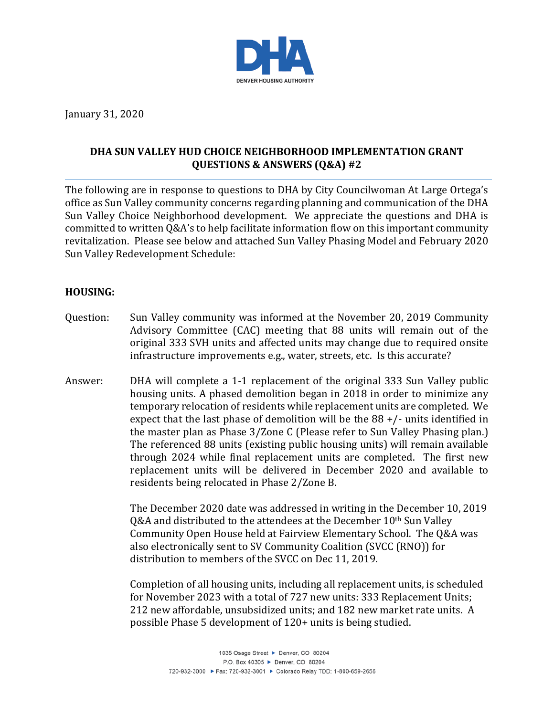

January 31, 2020

# **DHA SUN VALLEY HUD CHOICE NEIGHBORHOOD IMPLEMENTATION GRANT QUESTIONS & ANSWERS (Q&A) #2**

The following are in response to questions to DHA by City Councilwoman At Large Ortega's office as Sun Valley community concerns regarding planning and communication of the DHA Sun Valley Choice Neighborhood development. We appreciate the questions and DHA is committed to written Q&A's to help facilitate information flow on this important community revitalization. Please see below and attached Sun Valley Phasing Model and February 2020 Sun Valley Redevelopment Schedule:

### **HOUSING:**

- Question: Sun Valley community was informed at the November 20, 2019 Community Advisory Committee (CAC) meeting that 88 units will remain out of the original 333 SVH units and affected units may change due to required onsite infrastructure improvements e.g., water, streets, etc. Is this accurate?
- Answer: DHA will complete a 1-1 replacement of the original 333 Sun Valley public housing units. A phased demolition began in 2018 in order to minimize any temporary relocation of residents while replacement units are completed. We expect that the last phase of demolition will be the 88 +/- units identified in the master plan as Phase 3/Zone C (Please refer to Sun Valley Phasing plan.) The referenced 88 units (existing public housing units) will remain available through 2024 while final replacement units are completed. The first new replacement units will be delivered in December 2020 and available to residents being relocated in Phase 2/Zone B.

The December 2020 date was addressed in writing in the December 10, 2019 Q&A and distributed to the attendees at the December 10<sup>th</sup> Sun Valley Community Open House held at Fairview Elementary School. The Q&A was also electronically sent to SV Community Coalition (SVCC (RNO)) for distribution to members of the SVCC on Dec 11, 2019.

Completion of all housing units, including all replacement units, is scheduled for November 2023 with a total of 727 new units: 333 Replacement Units; 212 new affordable, unsubsidized units; and 182 new market rate units. A possible Phase 5 development of 120+ units is being studied.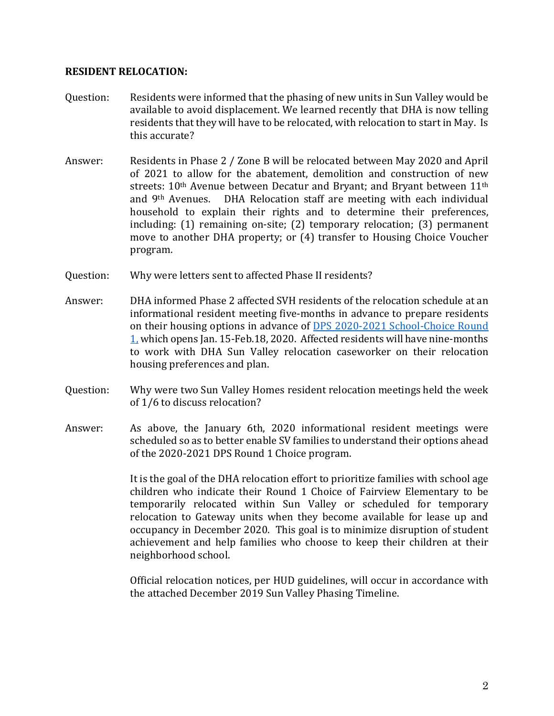#### **RESIDENT RELOCATION:**

- Question: Residents were informed that the phasing of new units in Sun Valley would be available to avoid displacement. We learned recently that DHA is now telling residents that they will have to be relocated, with relocation to start in May. Is this accurate?
- Answer: Residents in Phase 2 / Zone B will be relocated between May 2020 and April of 2021 to allow for the abatement, demolition and construction of new streets: 10<sup>th</sup> Avenue between Decatur and Bryant; and Bryant between 11<sup>th</sup> and 9th Avenues. DHA Relocation staff are meeting with each individual household to explain their rights and to determine their preferences, including: (1) remaining on-site; (2) temporary relocation; (3) permanent move to another DHA property; or (4) transfer to Housing Choice Voucher program.
- Ouestion: Why were letters sent to affected Phase II residents?
- Answer: DHA informed Phase 2 affected SVH residents of the relocation schedule at an informational resident meeting five-months in advance to prepare residents on their housing options in advance of [DPS 2020-2021 School-Choice Round](http://schoolchoice.dpsk12.org/schoolchoice-round-1/)  [1,](http://schoolchoice.dpsk12.org/schoolchoice-round-1/) which opens Jan. 15-Feb.18, 2020. Affected residents will have nine-months to work with DHA Sun Valley relocation caseworker on their relocation housing preferences and plan.
- Question: Why were two Sun Valley Homes resident relocation meetings held the week of 1/6 to discuss relocation?
- Answer: As above, the January 6th, 2020 informational resident meetings were scheduled so as to better enable SV families to understand their options ahead of the 2020-2021 DPS Round 1 Choice program.

It is the goal of the DHA relocation effort to prioritize families with school age children who indicate their Round 1 Choice of Fairview Elementary to be temporarily relocated within Sun Valley or scheduled for temporary relocation to Gateway units when they become available for lease up and occupancy in December 2020. This goal is to minimize disruption of student achievement and help families who choose to keep their children at their neighborhood school.

Official relocation notices, per HUD guidelines, will occur in accordance with the attached December 2019 Sun Valley Phasing Timeline.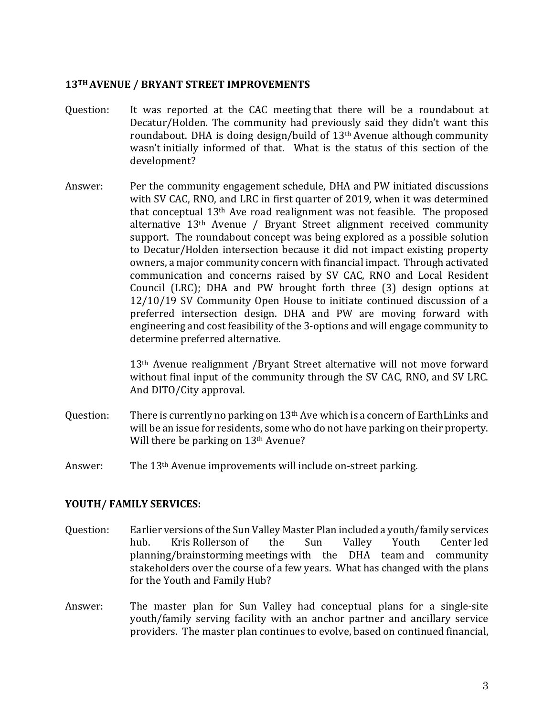#### **13TH AVENUE / BRYANT STREET IMPROVEMENTS**

- Question: It was reported at the CAC meeting that there will be a roundabout at Decatur/Holden. The community had previously said they didn't want this roundabout. DHA is doing design/build of 13th Avenue although community wasn't initially informed of that. What is the status of this section of the development?
- Answer: Per the community engagement schedule, DHA and PW initiated discussions with SV CAC, RNO, and LRC in first quarter of 2019, when it was determined that conceptual  $13<sup>th</sup>$  Ave road realignment was not feasible. The proposed alternative 13th Avenue / Bryant Street alignment received community support. The roundabout concept was being explored as a possible solution to Decatur/Holden intersection because it did not impact existing property owners, a major community concern with financial impact. Through activated communication and concerns raised by SV CAC, RNO and Local Resident Council (LRC); DHA and PW brought forth three (3) design options at 12/10/19 SV Community Open House to initiate continued discussion of a preferred intersection design. DHA and PW are moving forward with engineering and cost feasibility of the 3-options and will engage community to determine preferred alternative.

13th Avenue realignment /Bryant Street alternative will not move forward without final input of the community through the SV CAC, RNO, and SV LRC. And DITO/City approval.

- Question: There is currently no parking on 13<sup>th</sup> Ave which is a concern of EarthLinks and will be an issue for residents, some who do not have parking on their property. Will there be parking on 13<sup>th</sup> Avenue?
- Answer: The 13th Avenue improvements will include on-street parking.

### **YOUTH/ FAMILY SERVICES:**

- Question: Earlier versions of the Sun Valley Master Plan included a youth/family services<br>hub. Kris Rollerson of the Sun Valley Youth Center led hub. Kris Rollerson of the Sun Valley Youth Center led planning/brainstorming meetings with the DHA team and community stakeholders over the course of a few years. What has changed with the plans for the Youth and Family Hub?
- Answer: The master plan for Sun Valley had conceptual plans for a single-site youth/family serving facility with an anchor partner and ancillary service providers. The master plan continues to evolve, based on continued financial,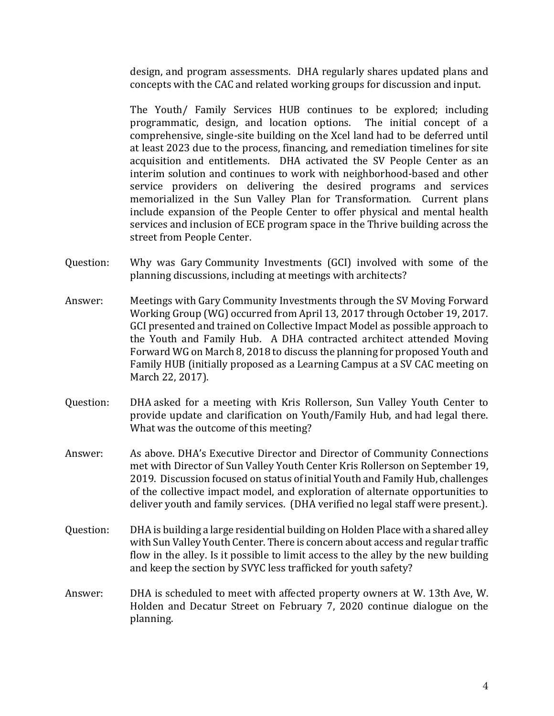design, and program assessments. DHA regularly shares updated plans and concepts with the CAC and related working groups for discussion and input.

The Youth/ Family Services HUB continues to be explored; including programmatic, design, and location options. The initial concept of a comprehensive, single-site building on the Xcel land had to be deferred until at least 2023 due to the process, financing, and remediation timelines for site acquisition and entitlements. DHA activated the SV People Center as an interim solution and continues to work with neighborhood-based and other service providers on delivering the desired programs and services memorialized in the Sun Valley Plan for Transformation. Current plans include expansion of the People Center to offer physical and mental health services and inclusion of ECE program space in the Thrive building across the street from People Center.

- Question: Why was Gary Community Investments (GCI) involved with some of the planning discussions, including at meetings with architects?
- Answer: Meetings with Gary Community Investments through the SV Moving Forward Working Group (WG) occurred from April 13, 2017 through October 19, 2017. GCI presented and trained on Collective Impact Model as possible approach to the Youth and Family Hub. A DHA contracted architect attended Moving Forward WG on March 8, 2018 to discuss the planning for proposed Youth and Family HUB (initially proposed as a Learning Campus at a SV CAC meeting on March 22, 2017).
- Question: DHA asked for a meeting with Kris Rollerson, Sun Valley Youth Center to provide update and clarification on Youth/Family Hub, and had legal there. What was the outcome of this meeting?
- Answer: As above. DHA's Executive Director and Director of Community Connections met with Director of Sun Valley Youth Center Kris Rollerson on September 19, 2019. Discussion focused on status of initial Youth and Family Hub, challenges of the collective impact model, and exploration of alternate opportunities to deliver youth and family services. (DHA verified no legal staff were present.).
- Question: DHA is building a large residential building on Holden Place with a shared alley with Sun Valley Youth Center. There is concern about access and regular traffic flow in the alley. Is it possible to limit access to the alley by the new building and keep the section by SVYC less trafficked for youth safety?
- Answer: DHA is scheduled to meet with affected property owners at W. 13th Ave, W. Holden and Decatur Street on February 7, 2020 continue dialogue on the planning.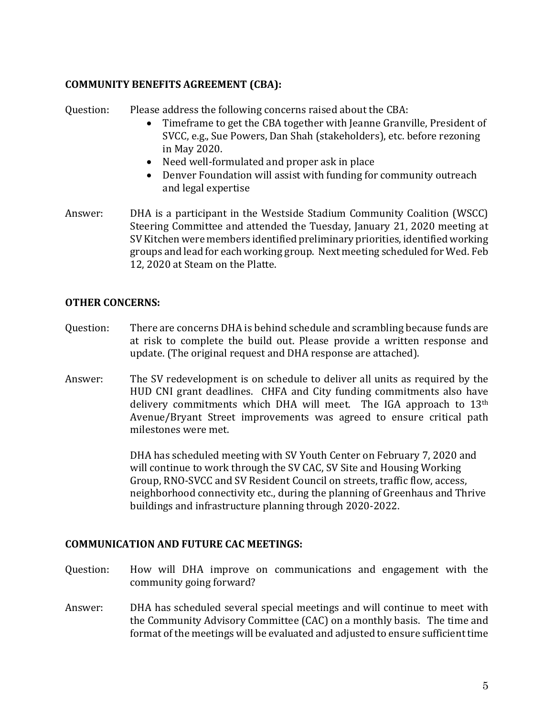# **COMMUNITY BENEFITS AGREEMENT (CBA):**

Question: Please address the following concerns raised about the CBA:

- Timeframe to get the CBA together with Jeanne Granville, President of SVCC, e.g., Sue Powers, Dan Shah (stakeholders), etc. before rezoning in May 2020.
- Need well-formulated and proper ask in place
- Denver Foundation will assist with funding for community outreach and legal expertise
- Answer: DHA is a participant in the Westside Stadium Community Coalition (WSCC) Steering Committee and attended the Tuesday, January 21, 2020 meeting at SV Kitchen were members identified preliminary priorities, identified working groups and lead for each working group. Next meeting scheduled for Wed. Feb 12, 2020 at Steam on the Platte.

## **OTHER CONCERNS:**

- Question: There are concerns DHA is behind schedule and scrambling because funds are at risk to complete the build out. Please provide a written response and update. (The original request and DHA response are attached).
- Answer: The SV redevelopment is on schedule to deliver all units as required by the HUD CNI grant deadlines. CHFA and City funding commitments also have delivery commitments which DHA will meet. The IGA approach to 13<sup>th</sup> Avenue/Bryant Street improvements was agreed to ensure critical path milestones were met.

DHA has scheduled meeting with SV Youth Center on February 7, 2020 and will continue to work through the SV CAC, SV Site and Housing Working Group, RNO-SVCC and SV Resident Council on streets, traffic flow, access, neighborhood connectivity etc., during the planning of Greenhaus and Thrive buildings and infrastructure planning through 2020-2022.

### **COMMUNICATION AND FUTURE CAC MEETINGS:**

- Question: How will DHA improve on communications and engagement with the community going forward?
- Answer: DHA has scheduled several special meetings and will continue to meet with the Community Advisory Committee (CAC) on a monthly basis. The time and format of the meetings will be evaluated and adjusted to ensure sufficient time